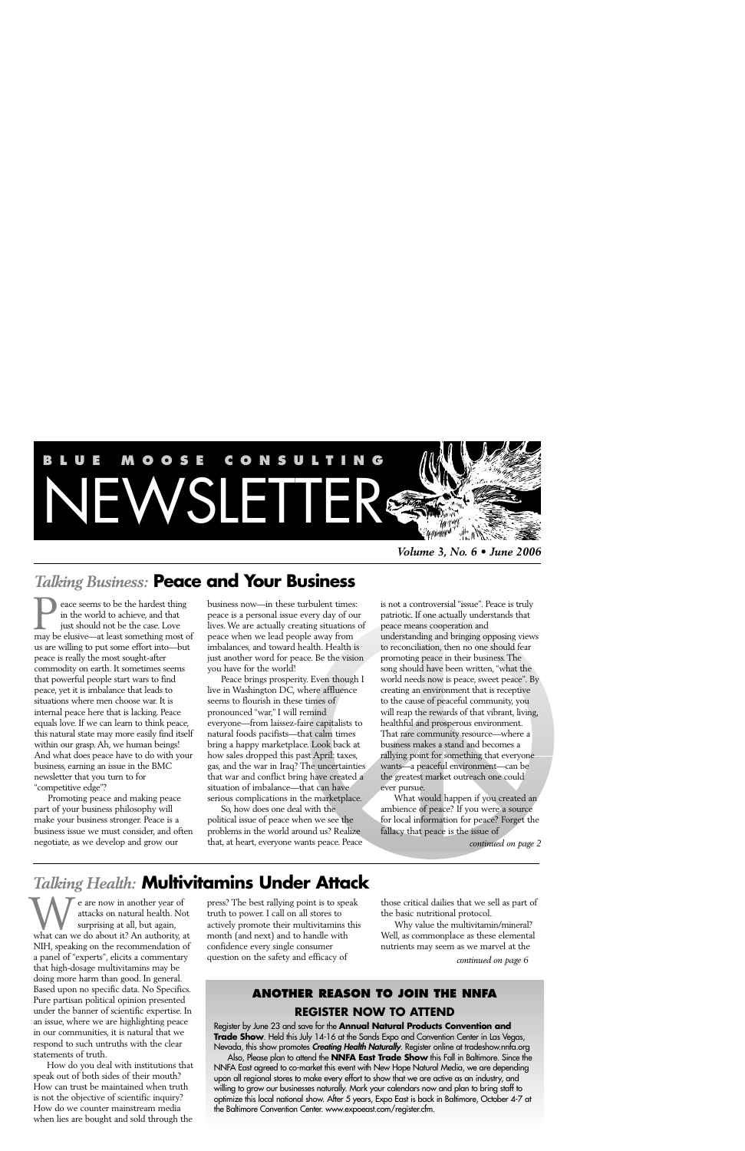

*Volume 3, No. 6 • June 2006*

# *Talking Business:* **Peace and Your Business**

eace seems to be the hardest thing in the world to achieve, and that just should not be the case. Love **1** eace seems to be the hardest thing<br>in the world to achieve, and that<br>just should not be the case. Love<br>may be elusive—at least something most of us are willing to put some effort into—but peace is really the most sought-after commodity on earth. It sometimes seems that powerful people start wars to find peace, yet it is imbalance that leads to situations where men choose war. It is internal peace here that is lacking. Peace equals love. If we can learn to think peace, this natural state may more easily find itself within our grasp. Ah, we human beings! And what does peace have to do with your business, earning an issue in the BMC newsletter that you turn to for "competitive edge"?

Promoting peace and making peace part of your business philosophy will make your business stronger. Peace is a business issue we must consider, and often negotiate, as we develop and grow our

business now—in these turbulent times: peace is a personal issue every day of our lives. We are actually creating situations of peace when we lead people away from imbalances, and toward health. Health is just another word for peace. Be the vision you have for the world!

Peace brings prosperity. Even though I live in Washington DC, where affluence seems to flourish in these times of pronounced "war," I will remind everyone—from laissez-faire capitalists to natural foods pacifists—that calm times bring a happy marketplace. Look back at how sales dropped this past April: taxes, gas, and the war in Iraq? The uncertainties that war and conflict bring have created a situation of imbalance—that can have serious complications in the marketplace.

So, how does one deal with the political issue of peace when we see the problems in the world around us? Realize that, at heart, everyone wants peace. Peace

is not a controversial "issue". Peace is truly patriotic. If one actually understands that peace means cooperation and understanding and bringing opposing views to reconciliation, then no one should fear promoting peace in their business. The song should have been written, "what the world needs now is peace, sweet peace". By creating an environment that is receptive to the cause of peaceful community, you will reap the rewards of that vibrant, living, healthful and prosperous environment. That rare community resource—where a business makes a stand and becomes a rallying point for something that everyone wants—a peaceful environment—can be the greatest market outreach one could ever pursue.

What would happen if you created an ambience of peace? If you were a source for local information for peace? Forget the fallacy that peace is the issue of

*continued on page 2*

# *Talking Health:* **Multivitamins Under Attack**

e are now in another year of attacks on natural health. Not surprising at all, but again, We are now in another year of<br>attacks on natural health. Not<br>surprising at all, but again,<br>what can we do about it? An authority, at NIH, speaking on the recommendation of a panel of "experts", elicits a commentary that high-dosage multivitamins may be doing more harm than good. In general. Based upon no specific data. No Specifics. Pure partisan political opinion presented under the banner of scientific expertise. In an issue, where we are highlighting peace in our communities, it is natural that we respond to such untruths with the clear statements of truth.

How do you deal with institutions that speak out of both sides of their mouth? How can trust be maintained when truth is not the objective of scientific inquiry? How do we counter mainstream media when lies are bought and sold through the

press? The best rallying point is to speak truth to power. I call on all stores to actively promote their multivitamins this month (and next) and to handle with confidence every single consumer question on the safety and efficacy of

those critical dailies that we sell as part of the basic nutritional protocol.

Why value the multivitamin/mineral? Well, as commonplace as these elemental nutrients may seem as we marvel at the

*continued on page 6*

### **ANOTHER REASON TO JOIN THE NNFA REGISTER NOW TO ATTEND**

Register by June 23 and save for the **Annual Natural Products Convention and Trade Show**. Held this July 14-16 at the Sands Expo and Convention Center in Las Vegas, Nevada, this show promotes *Creating Health Naturally*. Register online at tradeshow.nnfa.org

Also, Please plan to attend the **NNFA East Trade Show** this Fall in Baltimore. Since the NNFA East agreed to co-market this event with New Hope Natural Media, we are depending upon all regional stores to make every effort to show that we are active as an industry, and willing to grow our businesses naturally. Mark your calendars now and plan to bring staff to optimize this local national show. After 5 years, Expo East is back in Baltimore, October 4-7 at the Baltimore Convention Center. www.expoeast.com/register.cfm.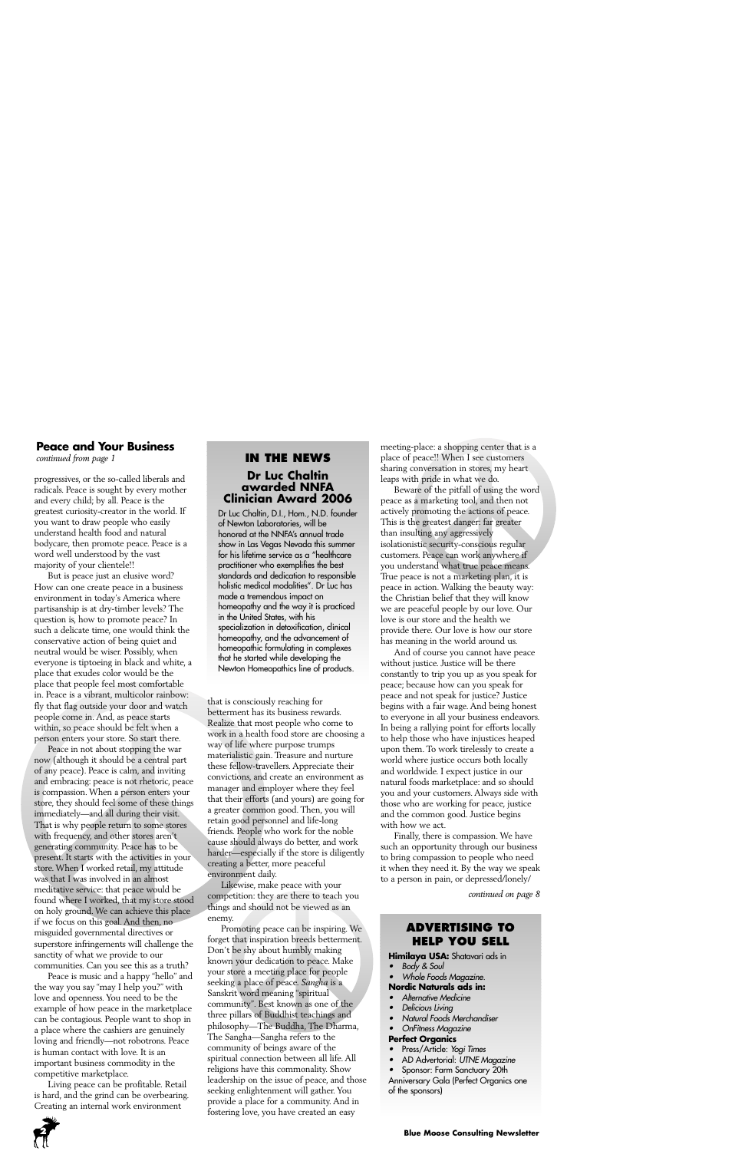#### **Peace and Your Business**

*continued from page 1*

progressives, or the so-called liberals and radicals. Peace is sought by every mother and every child; by all. Peace is the greatest curiosity-creator in the world. If you want to draw people who easily understand health food and natural bodycare, then promote peace. Peace is a word well understood by the vast majority of your clientele!!

But is peace just an elusive word? How can one create peace in a business environment in today's America where partisanship is at dry-timber levels? The question is, how to promote peace? In such a delicate time, one would think the conservative action of being quiet and neutral would be wiser. Possibly, when everyone is tiptoeing in black and white, a place that exudes color would be the place that people feel most comfortable in. Peace is a vibrant, multicolor rainbow: fly that flag outside your door and watch people come in. And, as peace starts within, so peace should be felt when a person enters your store. So start there.

Peace in not about stopping the war now (although it should be a central part of any peace). Peace is calm, and inviting and embracing: peace is not rhetoric, peace is compassion. When a person enters your store, they should feel some of these things immediately—and all during their visit. That is why people return to some stores with frequency, and other stores aren't generating community. Peace has to be present. It starts with the activities in your store. When I worked retail, my attitude was that I was involved in an almost meditative service: that peace would be found where I worked, that my store stood on holy ground. We can achieve this place if we focus on this goal. And then, no misguided governmental directives or superstore infringements will challenge the sanctity of what we provide to our communities. Can you see this as a truth?

Peace is music and a happy "hello" and the way you say "may I help you?" with love and openness. You need to be the example of how peace in the marketplace can be contagious. People want to shop in a place where the cashiers are genuinely loving and friendly—not robotrons. Peace is human contact with love. It is an important business commodity in the competitive marketplace.

Living peace can be profitable. Retail is hard, and the grind can be overbearing. Creating an internal work environment

#### **IN THE NEWS Dr Luc Chaltin awarded NNFA Clinician Award 2006**

Dr Luc Chaltin, D.I., Hom., N.D. founder of Newton Laboratories, will be honored at the NNFA's annual trade show in Las Vegas Nevada this summer for his lifetime service as a "healthcare practitioner who exemplifies the best standards and dedication to responsible holistic medical modalities". Dr Luc has made a tremendous impact on homeopathy and the way it is practiced in the United States, with his specialization in detoxification, clinical homeopathy, and the advancement of homeopathic formulating in complexes that he started while developing the Newton Homeopathics line of products.

that is consciously reaching for betterment has its business rewards. Realize that most people who come to work in a health food store are choosing a way of life where purpose trumps materialistic gain. Treasure and nurture these fellow-travellers. Appreciate their convictions, and create an environment as manager and employer where they feel that their efforts (and yours) are going for a greater common good. Then, you will retain good personnel and life-long friends. People who work for the noble cause should always do better, and work harder—especially if the store is diligently creating a better, more peaceful environment daily.

Likewise, make peace with your competition: they are there to teach you things and should not be viewed as an enemy.

Promoting peace can be inspiring. We forget that inspiration breeds betterment. Don't be shy about humbly making known your dedication to peace. Make your store a meeting place for people seeking a place of peace. *Sangha* is a Sanskrit word meaning "spiritual community". Best known as one of the three pillars of Buddhist teachings and philosophy—The Buddha, The Dharma, The Sangha—Sangha refers to the community of beings aware of the spiritual connection between all life. All religions have this commonality. Show leadership on the issue of peace, and those seeking enlightenment will gather. You provide a place for a community. And in fostering love, you have created an easy

meeting-place: a shopping center that is a place of peace!! When I see customers sharing conversation in stores, my heart leaps with pride in what we do.

Beware of the pitfall of using the word peace as a marketing tool, and then not actively promoting the actions of peace. This is the greatest danger: far greater than insulting any aggressively isolationistic security-conscious regular customers. Peace can work anywhere if you understand what true peace means. True peace is not a marketing plan, it is peace in action. Walking the beauty way: the Christian belief that they will know we are peaceful people by our love. Our love is our store and the health we provide there. Our love is how our store has meaning in the world around us.

And of course you cannot have peace without justice. Justice will be there constantly to trip you up as you speak for peace; because how can you speak for peace and not speak for justice? Justice begins with a fair wage. And being honest to everyone in all your business endeavors. In being a rallying point for efforts locally to help those who have injustices heaped upon them. To work tirelessly to create a world where justice occurs both locally and worldwide. I expect justice in our natural foods marketplace: and so should you and your customers. Always side with those who are working for peace, justice and the common good. Justice begins with how we act.

Finally, there is compassion. We have such an opportunity through our business to bring compassion to people who need it when they need it. By the way we speak to a person in pain, or depressed/lonely/

*continued on page 8*

#### **ADVERTISING TO HELP YOU SELL**

**Himilaya USA:** Shatavari ads in

•Body & Soul

#### • Whole Foods Magazine. **Nordic Naturals ads in:**

- •Alternative Medicine
- •Delicious Living
- •Natural Foods Merchandiser
- •OnFitness Magazine

#### **Perfect Organics**

- •Press/Article: Yogi Times
- •AD Advertorial: UTNE Magazine

•Sponsor: Farm Sanctuary 20th

Anniversary Gala (Perfect Organics one of the sponsors)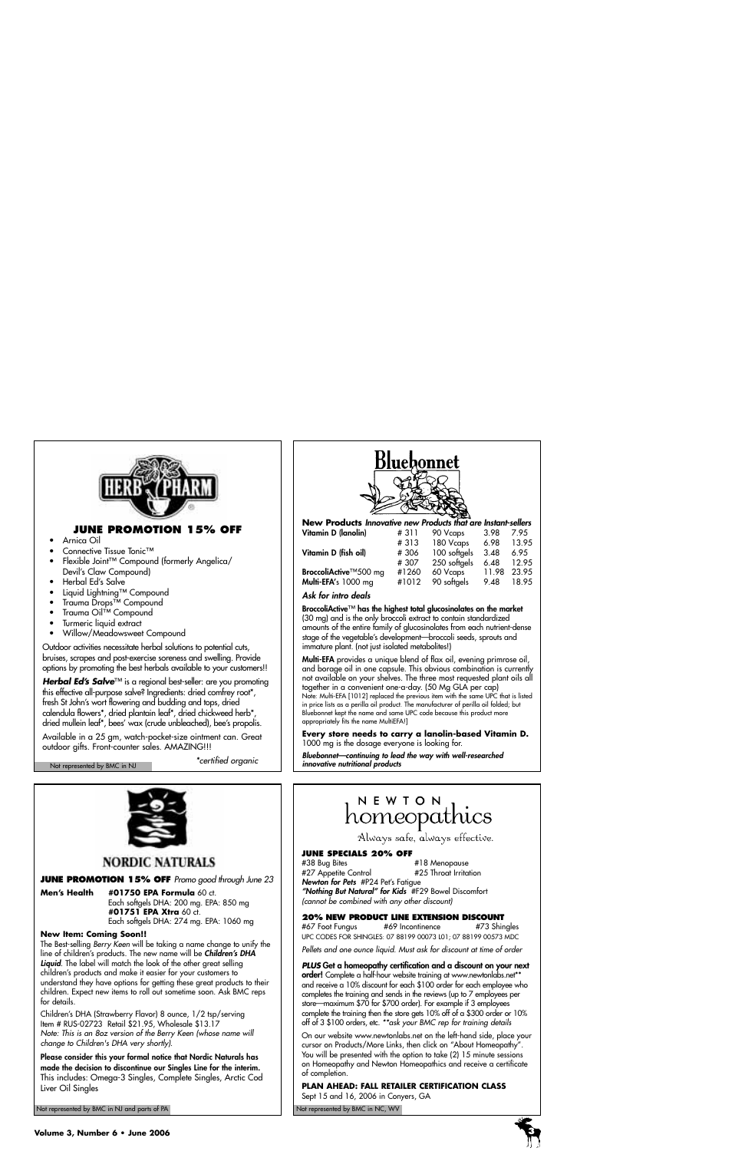

#### **JUNE PROMOTION 15% OFF**

- Arnica Oil
- Connective Tissue Tonic™
- Flexible Joint™ Compound (formerly Angelica/ Devil's Claw Compound)
- Herbal Ed's Salve
- Liquid Lightning™ Compound
- Trauma Drops™ Compound
- Trauma Oil™ Compound
- Turmeric liquid extract
- Willow/Meadowsweet Compound

Outdoor activities necessitate herbal solutions to potential cuts, bruises, scrapes and post-exercise soreness and swelling. Provide options by promoting the best herbals available to your customers!!

**Herbal Ed's Salve**™ is a regional best-seller: are you promoting this effective all-purpose salve? Ingredients: dried comfrey root\*, fresh St John's wort flowering and budding and tops, dried calendula flowers\*, dried plantain leaf\*, dried chickweed herb\*, dried mullein leaf\*, bees' wax (crude unbleached), bee's propolis.

Available in a 25 gm, watch-pocket-size ointment can. Great outdoor gifts. Front-counter sales. AMAZING!!!

\*certified organic Not represented by BMC in NJ



#### **NORDIC NATURALS**

**JUNE PROMOTION 15% OFF** Promo good through June 23

**Men's Health #01750 EPA Formula** 60 ct. Each softgels DHA: 200 mg. EPA: 850 mg **#01751 EPA Xtra** 60 ct. Each softgels DHA: 274 mg. EPA: 1060 mg

#### **New Item: Coming Soon!!**

The Best-selling Berry Keen will be taking a name change to unify the line of children's products. The new name will be *Children's DHA Liquid*. The label will match the look of the other great selling children's products and make it easier for your customers to understand they have options for getting these great products to their children. Expect new items to roll out sometime soon. Ask BMC reps for details.

Children's DHA (Strawberry Flavor) 8 ounce, 1/2 tsp/serving Item # RUS-02723 Retail \$21.95, Wholesale \$13.17 Note: This is an 8oz version of the Berry Keen (whose name will change to Children's DHA very shortly).

*Please consider this your formal notice that Nordic Naturals has made the decision to discontinue our Singles Line for the interim.* This includes: Omega-3 Singles, Complete Singles, Arctic Cod Liver Oil Singles

Not represented by BMC in NJ and parts of PA Not represented by BMC in NC, WV Not represented by BMC in NC, WV



|  |  | New Products Innovative new Products that are Instant-sellers |  |  |  |  |
|--|--|---------------------------------------------------------------|--|--|--|--|
|  |  |                                                               |  |  |  |  |

| Vitamin D (Ianolin)   | #311  | 90 Vcaps     | 3.98  | 7.95  |
|-----------------------|-------|--------------|-------|-------|
|                       | #313  | 180 Vcaps    | 6.98  | 13.95 |
| Vitamin D (fish oil)  | #306  | 100 softgels | 3.48  | 6.95  |
|                       | #307  | 250 softgels | 6.48  | 12.95 |
| BroccoliActive™500 mg | #1260 | 60 Vcaps     | 11.98 | 23.95 |
| Multi-EFA's 1000 mg   | #1012 | 90 softgels  | 9.48  | 18.95 |
|                       |       |              |       |       |

#### *Ask for intro deals*

*BroccoliActive*™ *has the highest total glucosinolates on the market* (30 mg) and is the only broccoli extract to contain standardized amounts of the entire family of glucosinolates from each nutrient-dense stage of the vegetable's development—broccoli seeds, sprouts and immature plant. (not just isolated metabolites!)

*Multi-EFA* provides a unique blend of flax oil, evening primrose oil, and borage oil in one capsule. This obvious combination is currently not available on your shelves. The three most requested plant oils all together in a convenient one-a-day. (50 Mg GLA per cap) Note: Multi-EFA [1012] replaced the previous item with the same UPC that is listed in price lists as a perilla oil product. The manufacturer of perilla oil folded; but Bluebonnet kept the name and same UPC code because this product more appropriately fits the name MultiEFA!]

**Every store needs to carry a lanolin-based Vitamin D.** 1000 mg is the dosage everyone is looking for.

*Bluebonnet—continuing to lead the way with well-researched innovative nutritional products*

## NEWTON homeopathics

Always safe, always effective.

#### **JUNE SPECIALS 20% OFF**

#38 Bug Bites #18 Menopause #27 Appetite Control *Newton for Pets* #P24 Pet's Fatigue *"Nothing But Natural" for Kids* #F29 Bowel Discomfort (cannot be combined with any other discount)

#### **20% NEW PRODUCT LINE EXTENSION DISCOUNT**

#67 Foot Fungus #69 Incontinence #73 Shingles UPC CODES FOR SHINGLES: 07 88199 00073 L01; 07 88199 00573 MDC Pellets and one ounce liquid. Must ask for discount at time of order

**PLUS** *Get a homeopathy certification and a discount on your next order!* Complete a half-hour website training at www.newtonlabs.net\*\* and receive a 10% discount for each \$100 order for each employee who completes the training and sends in the reviews (up to 7 employees per store—maximum \$70 for \$700 order). For example if 3 employees complete the training then the store gets 10% off of a \$300 order or 10% off of 3 \$100 orders, etc. \*\*ask your BMC rep for training details

On our website www.newtonlabs.net on the left-hand side, place your cursor on Products/More Links, then click on "About Homeopathy". You will be presented with the option to take (2) 15 minute sessions on Homeopathy and Newton Homeopathics and receive a certificate of completion.

**PLAN AHEAD: FALL RETAILER CERTIFICATION CLASS**  Sept 15 and 16, 2006 in Conyers, GA

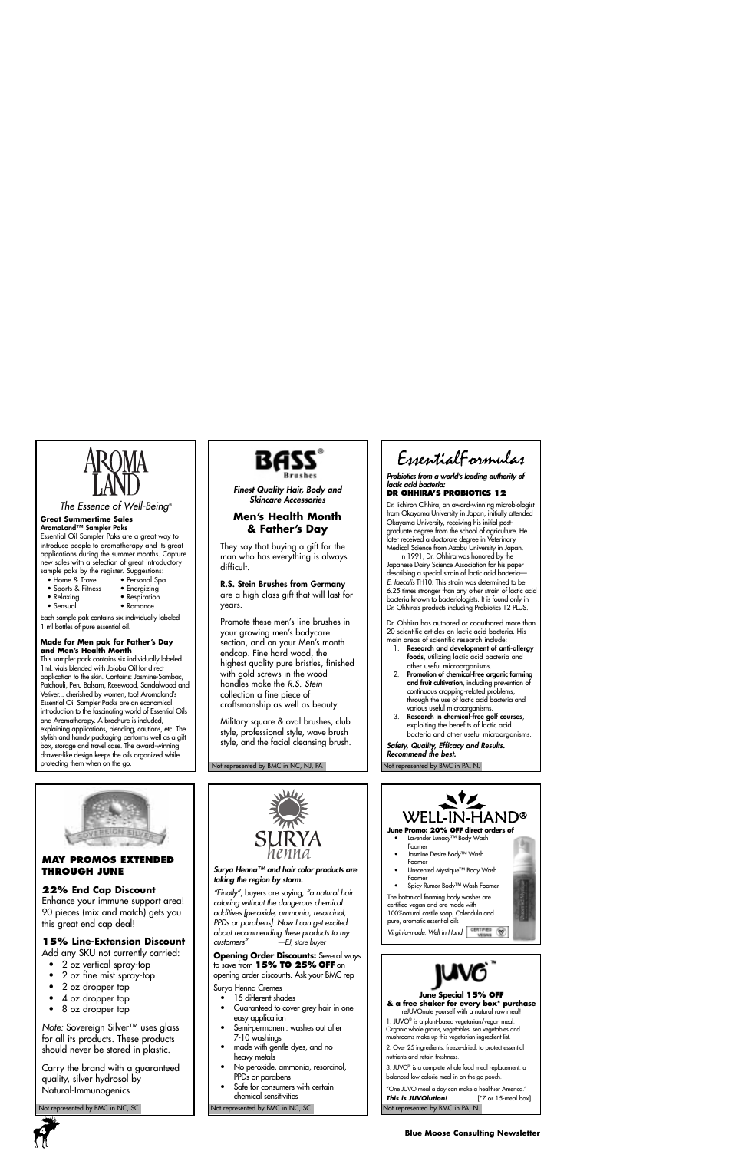

The Essence of Well-Being®

#### **Great Summertime Sales** *AromaLand™ Sampler Paks*

Essential Oil Sampler Paks are a great way to introduce people to aromatherapy and its great applications during the summer months. Capture new sales with a selection of great introductory sample paks by the register. Suggestions:<br>• Home & Travel • Personal Spa

- Home & Travel Personal Sp<br>• Sports & Fitness Energizing
- Sports & Fitness<br>• Relaxing
	-
- 
- Relaxing Respiration
	- Romance

Each sample pak contains six individually labeled 1 ml bottles of pure essential oil.

#### **Made for Men pak for Father's Day and Men's Health Month**

This sampler pack contains six individually labeled 1ml. vials blended with Jojoba Oil for direct application to the skin. Contains: Jasmine-Sambac, Patchouli, Peru Balsam, Rosewood, Sandalwood and Vetiver... cherished by women, too! Aromaland's Essential Oil Sampler Packs are an economical introduction to the fascinating world of Essential Oils and Aromatherapy. A brochure is included, explaining applications, blending, cautions, etc. The stylish and handy packaging performs well as a gift box, storage and travel case. The award-winning drawer-like design keeps the oils organized while protecting them when on the go.



*Finest Quality Hair, Body and Skincare Accessories*

#### **Men's Health Month & Father's Day**

They say that buying a gift for the man who has everything is always difficult.

*R.S. Stein Brushes from Germany* are a high-class gift that will last for years.

Promote these men's line brushes in your growing men's bodycare section, and on your Men's month endcap. Fine hard wood, the highest quality pure bristles, finished with gold screws in the wood handles make the R.S. Stein collection a fine piece of craftsmanship as well as beauty.

Military square & oval brushes, club style, professional style, wave brush style, and the facial cleansing brush.

Not represented by BMC in NC, NJ, PA

EssentialFormulas

*Probiotics from a world's leading authority of lactic acid bacteria:* 

#### **DR OHHIRA'S PROBIOTICS 12**

Dr. Iichiroh Ohhira, an award-winning microbiologist from Okayama University in Japan, initially attended Okayama University, receiving his initial postgraduate degree from the school of agriculture. He later received a doctorate degree in Veterinary Medical Science from Azabu University in Japan.

In 1991, Dr. Ohhira was honored by the Japanese Dairy Science Association for his paper describing a special strain of lactic acid bacteria— E. faecalis TH10. This strain was determined to be 6.25 times stronger than any other strain of lactic acid bacteria known to bacteriologists. It is found only in Dr. Ohhira's products including Probiotics 12 PLUS.

Dr. Ohhira has authored or coauthored more than 20 scientific articles on lactic acid bacteria. His main areas of scientific research include:

- 1. *Research and development of anti-allergy foods*, utilizing lactic acid bacteria and other useful microorganisms.
- 2. *Promotion of chemical-free organic farming and fruit cultivation*, including prevention of continuous cropping-related problems, through the use of lactic acid bacteria and various useful microorganisms.
- 3. *Research in chemical-free golf courses*, exploiting the benefits of lactic acid bacteria and other useful microorganisms.

*Safety, Quality, Efficacy and Results. Recommend the best.*

Not represented by BMC in PA, NJ



#### **MAY PROMOS EXTENDED THROUGH JUNE**

#### **22% End Cap Discount**

Enhance your immune support area! 90 pieces (mix and match) gets you this great end cap deal!

#### **15% Line-Extension Discount**

Add any SKU not currently carried:

- 2 oz vertical spray-top
- 2 oz fine mist spray-top
- 2 oz dropper top
- 4 oz dropper top
- 8 oz dropper top

Note: Sovereign Silver<sup>™</sup> uses glass for all its products. These products should never be stored in plastic.

Carry the brand with a guaranteed quality, silver hydrosol by Natural-Immunogenics



#### *Surya Henna™ and hair color products are taking the region by storm.*

"Finally", buyers are saying, "a natural hair coloring without the dangerous chemical additives [peroxide, ammonia, resorcinol, PPDs or parabens]. Now I can get excited about recommending these products to my<br>customers"-EJ, store buyer -EJ, store buyer

**Opening Order Discounts:** Several ways to save from **15% TO 25% OFF** on opening order discounts. Ask your BMC rep

Surya Henna Cremes

- 15 different shades
- Guaranteed to cover grey hair in one easy application
- Semi-permanent: washes out after 7-10 washings
- made with gentle dyes, and no heavy metals
- No peroxide, ammonia, resorcinol, PPDs or parabens
- Safe for consumers with certain chemical sensitivities



1. JUVO® is a plant-based vegetarian/vegan meal: Organic whole grains, vegetables, sea vegetables and mushrooms make up this vegetarian ingredient list.

2. Over 25 ingredients, freeze-dried, to protect essential nutrients and retain freshness.

3. JUVO® is a complete whole food meal replacement: a balanced low-calorie meal in on-the-go pouch.

Not represented by BMC in NC, SC Not represented by BMC in NC, SC Not represented by BMC in PA, NJ "One JUVO meal a day can make a healthier America." **This is JUVOlution!** [\*7 or 15-meal box]

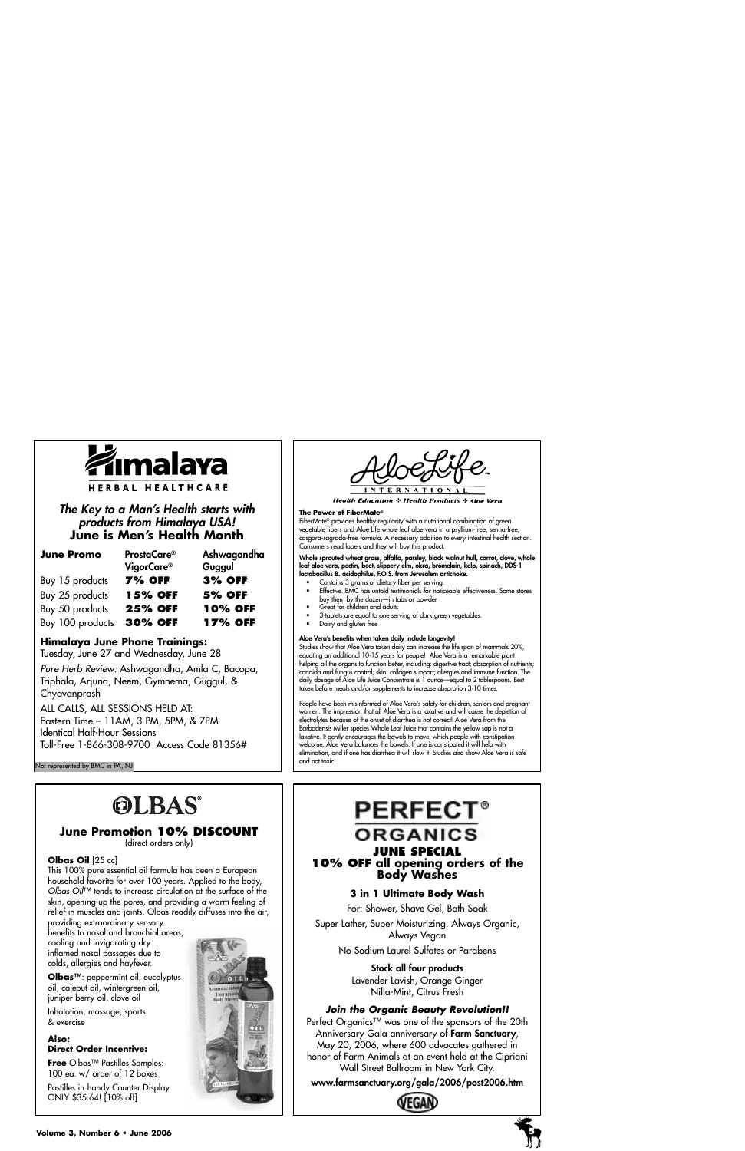

### *The Key to a Man's Health starts with products from Himalaya USA!* **June is Men's Health Month**

| <b>June Promo</b> | <b>ProstaCare®</b><br>VigorCare <sup>®</sup> | Ashwagandha<br>Guggul |
|-------------------|----------------------------------------------|-----------------------|
| Buy 15 products   | <b>7% OFF</b>                                | <b>3% OFF</b>         |
| Buy 25 products   | <b>15% OFF</b>                               | <b>5% OFF</b>         |
| Buy 50 products   | <b>25% OFF</b>                               | <b>10% OFF</b>        |
| Buy 100 products  | <b>30% OFF</b>                               | <b>17% OFF</b>        |

#### **Himalaya June Phone Trainings:**

Tuesday, June 27 and Wednesday, June 28

Pure Herb Review: Ashwagandha, Amla C, Bacopa, Triphala, Arjuna, Neem, Gymnema, Guggul, & Chyavanprash

ALL CALLS, ALL SESSIONS HELD AT: Eastern Time – 11AM, 3 PM, 5PM, & 7PM Identical Half-Hour Sessions Toll-Free 1-866-308-9700 Access Code 81356#

Not represented by BMC in PA, NJ

# **OLBAS®**

#### **June Promotion 10% DISCOUNT**

(direct orders only)

#### **Olbas Oil** [25 cc]

This 100% pure essential oil formula has been a European household favorite for over 100 years. Applied to the body, Olbas Oil™ tends to increase circulation at the surface of the skin, opening up the pores, and providing a warm feeling of relief in muscles and joints. Olbas readily diffuses into the air,

providing extraordinary sensory benefits to nasal and bronchial areas, cooling and invigorating dry inflamed nasal passages due to colds, allergies and hayfever.

**Olbas™**: peppermint oil, eucalyptus oil, cajeput oil, wintergreen oil, juniper berry oil, clove oil

Inhalation, massage, sports & exercise

#### **Also: Direct Order Incentive:**

**Free** Olbas™ Pastilles Samples: 100 ea. w/ order of 12 boxes

Pastilles in handy Counter Display ONLY \$35.64! [10% off]



**Health Education**  $\div$  **Health Products**  $\div$  **Aloe Vera** 

#### **The Power of FiberMate®**

FiberMate® provides healthy regularity`with a nutritional combination of green vegetable fibers and Aloe Life whole leaf aloe vera in a psyllium-free, senna-free, casgara-sagrada-free formula. A necessary addition to every intestinal health section. Consumers read labels and they will buy this product.

*Whole sprouted wheat grass, alfalfa, parsley, black walnut hull, carrot, clove, whole leaf aloe vera, pectin, beet, slippery elm, okra, bromelain, kelp, spinach, DDS-1 lactobacillus B. acidophilus, F.O.S. from Jerusalem artichoke.*

- Contains 3 grams of dietary fiber per serving.
- Effective. BMC has untold testimonials for noticeable effectiveness. Some stores buy them by the dozen—in tabs or powder
- Great for children and adults
- 3 tablets are equal to one serving of dark green vegetables.
- Dairy and gluten free

#### *Aloe Vera's benefits when taken daily include longevity!*

Studies show that Aloe Vera taken daily can increase the life span of mammals 20%, equating an additional 10-15 years for people! Aloe Vera is a remarkable plant helping all the organs to function better, including: digestive tract; absorption of nutrients; candida and fungus control; skin, collagen support; allergies and immune function. The daily dosage of Aloe Life Juice Concentrate is 1 ounce—equal to 2 tablespoons. Best taken before meals and/or supplements to increase absorption 3-10 times.

People have been misinformed of Aloe Vera's safety for children, seniors and pregnant women. The impression that all Aloe Vera is a laxative and will cause the depletion of electrolytes because of the onset of diarrhea is not correct! Aloe Vera from the Barbadensis Miller species Whole Leaf Juice that contains the yellow sap is not a laxative. It gently encourages the bowels to move, which people with constipation welcome. Aloe Vera balances the bowels. If one is constipated it will help with elimination, and if one has diarrhea it will slow it. Studies also show Aloe Vera is safe and not toxic!

# **PERFECT® ORGANICS**

#### **JUNE SPECIAL 10% OFF all opening orders of the Body Washes**

#### **3 in 1 Ultimate Body Wash**

For: Shower, Shave Gel, Bath Soak

Super Lather, Super Moisturizing, Always Organic, Always Vegan

No Sodium Laurel Sulfates or Parabens

*Stock all four products* Lavender Lavish, Orange Ginger

Nilla-Mint, Citrus Fresh

#### **Join the Organic Beauty Revolution!!**

Perfect Organics™ was one of the sponsors of the 20th Anniversary Gala anniversary of *Farm Sanctuary*, May 20, 2006, where 600 advocates gathered in honor of Farm Animals at an event held at the Cipriani Wall Street Ballroom in New York City.

*www.farmsanctuary.org/gala/2006/post2006.htm*



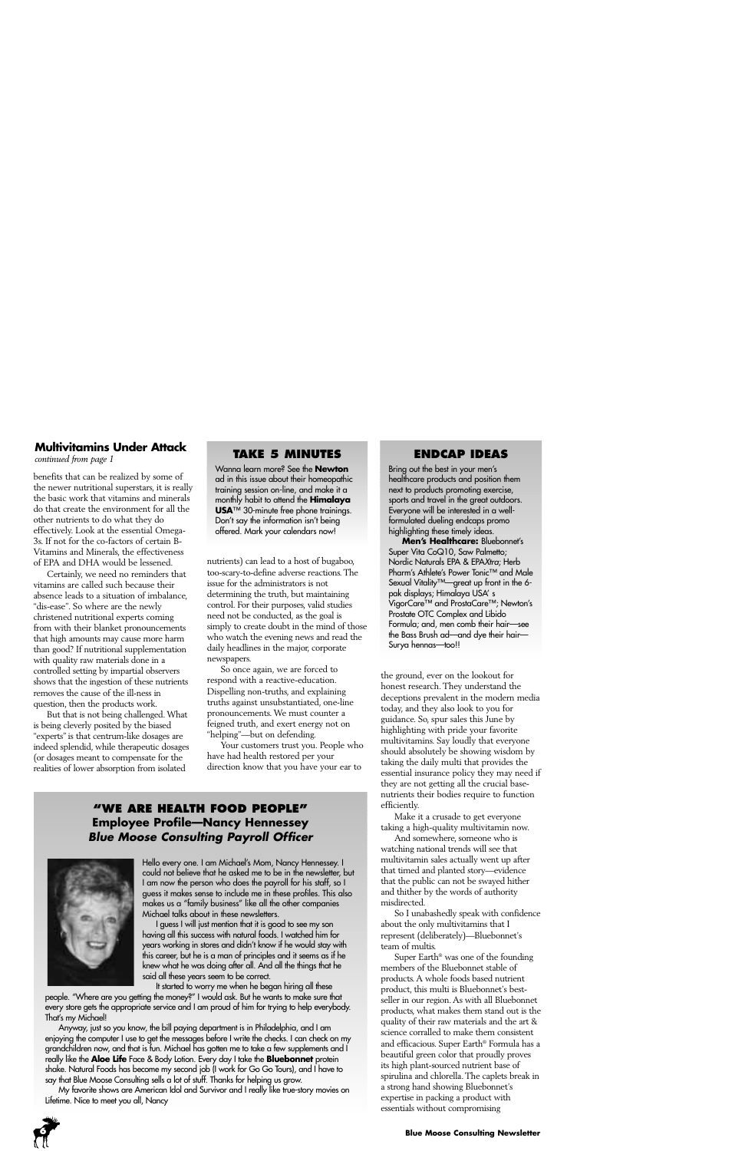#### **Multivitamins Under Attack**

*continued from page 1*

benefits that can be realized by some of the newer nutritional superstars, it is really the basic work that vitamins and minerals do that create the environment for all the other nutrients to do what they do effectively. Look at the essential Omega-3s. If not for the co-factors of certain B-Vitamins and Minerals, the effectiveness of EPA and DHA would be lessened.

Certainly, we need no reminders that vitamins are called such because their absence leads to a situation of imbalance, "dis-ease". So where are the newly christened nutritional experts coming from with their blanket pronouncements that high amounts may cause more harm than good? If nutritional supplementation with quality raw materials done in a controlled setting by impartial observers shows that the ingestion of these nutrients removes the cause of the ill-ness in question, then the products work.

But that is not being challenged. What is being cleverly posited by the biased "experts" is that centrum-like dosages are indeed splendid, while therapeutic dosages (or dosages meant to compensate for the realities of lower absorption from isolated

#### **TAKE 5 MINUTES**

Wanna learn more? See the **Newton** ad in this issue about their homeopathic training session on-line, and make it a monthly habit to attend the **Himalaya USA**™ 30-minute free phone trainings. Don't say the information isn't being offered. Mark your calendars now!

nutrients) can lead to a host of bugaboo, too-scary-to-define adverse reactions. The issue for the administrators is not determining the truth, but maintaining control. For their purposes, valid studies need not be conducted, as the goal is simply to create doubt in the mind of those who watch the evening news and read the daily headlines in the major, corporate newspapers.

So once again, we are forced to respond with a reactive-education. Dispelling non-truths, and explaining truths against unsubstantiated, one-line pronouncements. We must counter a feigned truth, and exert energy not on "helping"—but on defending.

Your customers trust you. People who have had health restored per your direction know that you have your ear to

#### **"WE ARE HEALTH FOOD PEOPLE" Employee Profile—Nancy Hennessey Blue Moose Consulting Payroll Officer**



Hello every one. I am Michael's Mom, Nancy Hennessey. I could not believe that he asked me to be in the newsletter, but I am now the person who does the payroll for his staff, so I guess it makes sense to include me in these profiles. This also makes us a "family business" like all the other companies Michael talks about in these newsletters.

I guess I will just mention that it is good to see my son having all this success with natural foods. I watched him for years working in stores and didn't know if he would stay with this career, but he is a man of principles and it seems as if he knew what he was doing after all. And all the things that he said all these years seem to be correct.

It started to worry me when he began hiring all these people. "Where are you getting the money?" I would ask. But he wants to make sure that every store gets the appropriate service and I am proud of him for trying to help everybody. That's my Michael!

Anyway, just so you know, the bill paying department is in Philadelphia, and I am enjoying the computer I use to get the messages before I write the checks. I can check on my grandchildren now, and that is fun. Michael has gotten me to take a few supplements and I really like the **Aloe Life** Face & Body Lotion. Every day I take the **Bluebonnet** protein shake. Natural Foods has become my second job (I work for Go Go Tours), and I have to say that Blue Moose Consulting sells a lot of stuff. Thanks for helping us grow.

My favorite shows are American Idol and Survivor and I really like true-story movies on Lifetime. Nice to meet you all, Nancy



#### **ENDCAP IDEAS**

Bring out the best in your men's healthcare products and position them next to products promoting exercise, sports and travel in the great outdoors. Everyone will be interested in a wellformulated dueling endcaps promo highlighting these timely ideas.

**Men's Healthcare:** Bluebonnet's Super Vita CoQ10, Saw Palmetto; Nordic Naturals EPA & EPAXtra; Herb Pharm's Athlete's Power Tonic™ and Male Sexual Vitality™—great up front in the 6 pak displays; Himalaya USA' s VigorCare™ and ProstaCare™; Newton's Prostate OTC Complex and Libido Formula; and, men comb their hair—see the Bass Brush ad—and dye their hair— Surya hennas—too!!

the ground, ever on the lookout for honest research. They understand the deceptions prevalent in the modern media today, and they also look to you for guidance. So, spur sales this June by highlighting with pride your favorite multivitamins. Say loudly that everyone should absolutely be showing wisdom by taking the daily multi that provides the essential insurance policy they may need if they are not getting all the crucial basenutrients their bodies require to function efficiently.

Make it a crusade to get everyone taking a high-quality multivitamin now.

And somewhere, someone who is watching national trends will see that multivitamin sales actually went up after that timed and planted story—evidence that the public can not be swayed hither and thither by the words of authority misdirected.

So I unabashedly speak with confidence about the only multivitamins that I represent (deliberately)—Bluebonnet's team of multis.

Super Earth® was one of the founding members of the Bluebonnet stable of products. A whole foods based nutrient product, this multi is Bluebonnet's bestseller in our region. As with all Bluebonnet products, what makes them stand out is the quality of their raw materials and the art & science corralled to make them consistent and efficacious. Super Earth® Formula has a beautiful green color that proudly proves its high plant-sourced nutrient base of spirulina and chlorella. The caplets break in a strong hand showing Bluebonnet's expertise in packing a product with essentials without compromising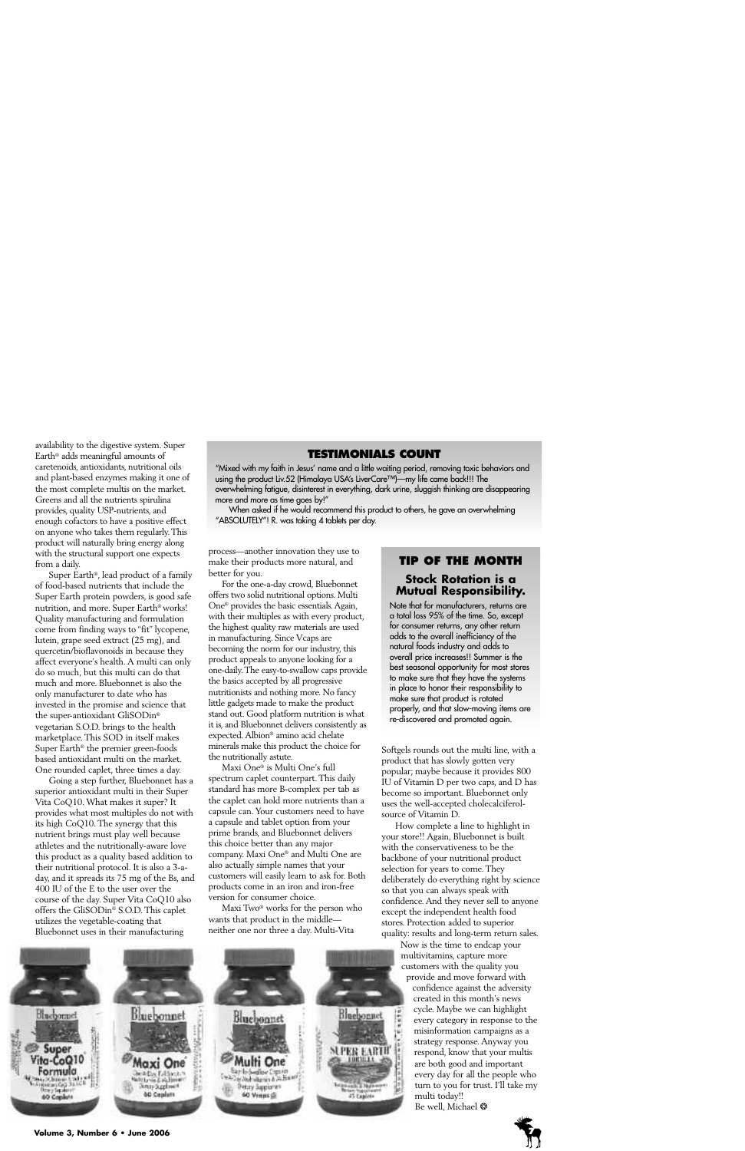availability to the digestive system. Super Earth® adds meaningful amounts of caretenoids, antioxidants, nutritional oils and plant-based enzymes making it one of the most complete multis on the market. Greens and all the nutrients spirulina provides, quality USP-nutrients, and enough cofactors to have a positive effect on anyone who takes them regularly. This product will naturally bring energy along with the structural support one expects from a daily.

Super Earth®, lead product of a family of food-based nutrients that include the Super Earth protein powders, is good safe nutrition, and more. Super Earth® works! Quality manufacturing and formulation come from finding ways to "fit" lycopene, lutein, grape seed extract (25 mg), and quercetin/bioflavonoids in because they affect everyone's health. A multi can only do so much, but this multi can do that much and more. Bluebonnet is also the only manufacturer to date who has invested in the promise and science that the super-antioxidant GliSODin® vegetarian S.O.D. brings to the health marketplace. This SOD in itself makes Super Earth® the premier green-foods based antioxidant multi on the market. One rounded caplet, three times a day.

Going a step further, Bluebonnet has a superior antioxidant multi in their Super Vita CoQ10. What makes it super? It provides what most multiples do not with its high CoQ10. The synergy that this nutrient brings must play well because athletes and the nutritionally-aware love this product as a quality based addition to their nutritional protocol. It is also a 3-aday, and it spreads its 75 mg of the Bs, and 400 IU of the E to the user over the course of the day. Super Vita CoQ10 also offers the GliSODin® S.O.D. This caplet utilizes the vegetable-coating that Bluebonnet uses in their manufacturing

#### **TESTIMONIALS COUNT**

"Mixed with my faith in Jesus' name and a little waiting period, removing toxic behaviors and using the product Liv.52 (Himalaya USA's LiverCare™)—my life came back!!! The overwhelming fatigue, disinterest in everything, dark urine, sluggish thinking are disappearing more and more as time goes by!"

When asked if he would recommend this product to others, he gave an overwhelming "ABSOLUTELY"! R. was taking 4 tablets per day.

process—another innovation they use to make their products more natural, and better for you.

For the one-a-day crowd, Bluebonnet offers two solid nutritional options. Multi One® provides the basic essentials. Again, with their multiples as with every product, the highest quality raw materials are used in manufacturing. Since Vcaps are becoming the norm for our industry, this product appeals to anyone looking for a one-daily. The easy-to-swallow caps provide the basics accepted by all progressive nutritionists and nothing more. No fancy little gadgets made to make the product stand out. Good platform nutrition is what it is, and Bluebonnet delivers consistently as expected. Albion® amino acid chelate minerals make this product the choice for the nutritionally astute.

Maxi One® is Multi One's full spectrum caplet counterpart. This daily standard has more B-complex per tab as the caplet can hold more nutrients than a capsule can. Your customers need to have a capsule and tablet option from your prime brands, and Bluebonnet delivers this choice better than any major company. Maxi One® and Multi One are also actually simple names that your customers will easily learn to ask for. Both products come in an iron and iron-free version for consumer choice.

Maxi Two® works for the person who wants that product in the middle neither one nor three a day. Multi-Vita



#### **TIP OF THE MONTH**

#### **Stock Rotation is a Mutual Responsibility.**

Note that for manufacturers, returns are a total loss 95% of the time. So, except for consumer returns, any other return adds to the overall inefficiency of the natural foods industry and adds to overall price increases!! Summer is the best seasonal opportunity for most stores to make sure that they have the systems in place to honor their responsibility to make sure that product is rotated properly, and that slow-moving items are re-discovered and promoted again.

Softgels rounds out the multi line, with a product that has slowly gotten very popular; maybe because it provides 800 IU of Vitamin D per two caps, and D has become so important. Bluebonnet only uses the well-accepted cholecalciferolsource of Vitamin D.

How complete a line to highlight in your store!! Again, Bluebonnet is built with the conservativeness to be the backbone of your nutritional product selection for years to come. They deliberately do everything right by science so that you can always speak with confidence. And they never sell to anyone except the independent health food stores. Protection added to superior quality: results and long-term return sales.

Now is the time to endcap your multivitamins, capture more customers with the quality you provide and move forward with

confidence against the adversity created in this month's news cycle. Maybe we can highlight every category in response to the misinformation campaigns as a strategy response. Anyway you respond, know that your multis are both good and important every day for all the people who turn to you for trust. I'll take my multi today!!

Be well, Michael ❂